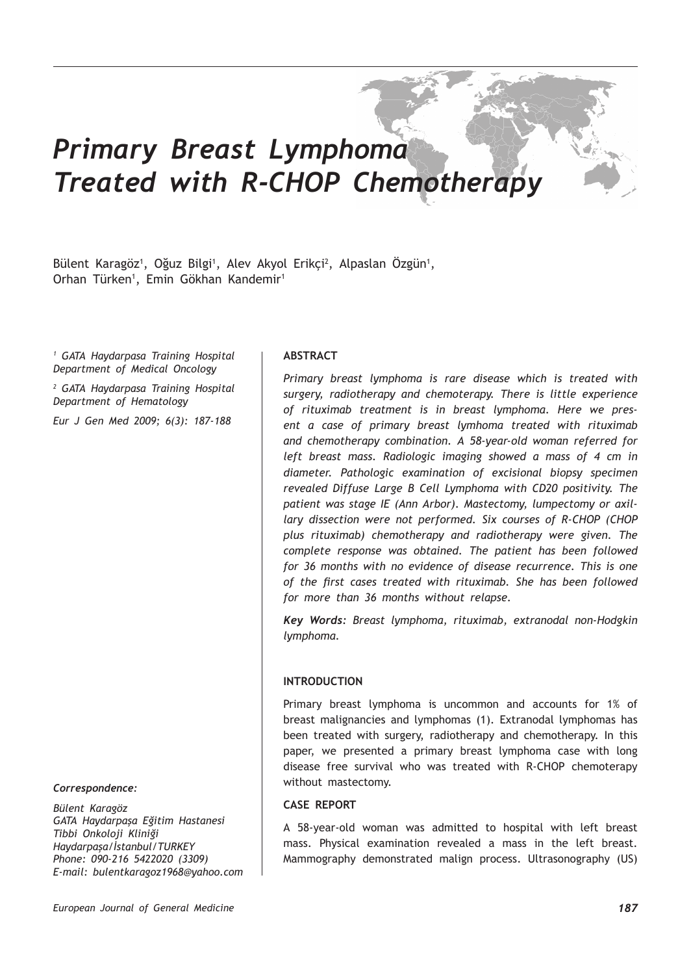# *Primary Breast Lymphoma Treated with R-CHOP Chemotherapy*

Bülent Karagöz<sup>1</sup>, Oğuz Bilgi<sup>1</sup>, Alev Akyol Erikçi<sup>2</sup>, Alpaslan Ozgün<sup>1</sup>, Orhan Türken1 , Emin Gökhan Kandemir1

*1 GATA Haydarpasa Training Hospital Department of Medical Oncology*

*2 GATA Haydarpasa Training Hospital Department of Hematology*

*Eur J Gen Med 2009; 6(3): 187-188*

#### *Correspondence:*

*Bülent Karagöz GATA Haydarpaşa Eğitim Hastanesi Tibbi Onkoloji Kliniği Haydarpaşa/İstanbul/TURKEY Phone: 090-216 5422020 (3309) E-mail: bulentkaragoz1968@yahoo.com*

### **ABSTRACT**

*Primary breast lymphoma is rare disease which is treated with surgery, radiotherapy and chemoterapy. There is little experience of rituximab treatment is in breast lymphoma. Here we present a case of primary breast lymhoma treated with rituximab and chemotherapy combination. A 58-year-old woman referred for left breast mass. Radiologic imaging showed a mass of 4 cm in diameter. Pathologic examination of excisional biopsy specimen revealed Diffuse Large B Cell Lymphoma with CD20 positivity. The patient was stage IE (Ann Arbor). Mastectomy, lumpectomy or axillary dissection were not performed. Six courses of R-CHOP (CHOP plus rituximab) chemotherapy and radiotherapy were given. The complete response was obtained. The patient has been followed for 36 months with no evidence of disease recurrence. This is one of the first cases treated with rituximab. She has been followed for more than 36 months without relapse.*

*Key Words: Breast lymphoma, rituximab, extranodal non-Hodgkin lymphoma.*

#### **INTRODUCTION**

Primary breast lymphoma is uncommon and accounts for 1% of breast malignancies and lymphomas (1). Extranodal lymphomas has been treated with surgery, radiotherapy and chemotherapy. In this paper, we presented a primary breast lymphoma case with long disease free survival who was treated with R-CHOP chemoterapy without mastectomy.

## **CASE REPORT**

A 58-year-old woman was admitted to hospital with left breast mass. Physical examination revealed a mass in the left breast. Mammography demonstrated malign process. Ultrasonography (US)